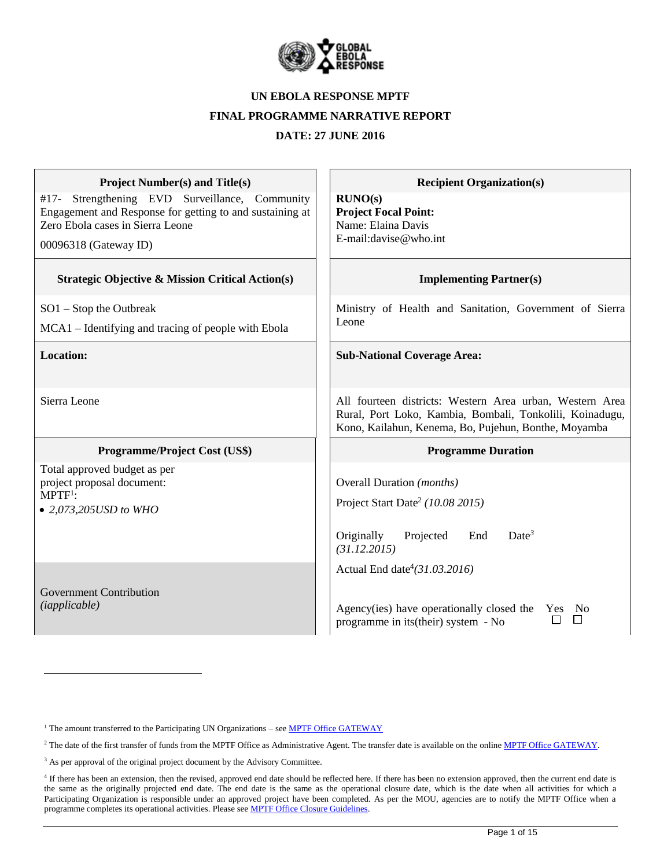

#### **UN EBOLA RESPONSE MPTF**

#### **FINAL PROGRAMME NARRATIVE REPORT**

**DATE: 27 JUNE 2016**

| <b>Project Number(s) and Title(s)</b>                                                                                                                                      | <b>Recipient Organization(s)</b>                                                                                                                                             |
|----------------------------------------------------------------------------------------------------------------------------------------------------------------------------|------------------------------------------------------------------------------------------------------------------------------------------------------------------------------|
| Strengthening EVD Surveillance, Community<br>#17-<br>Engagement and Response for getting to and sustaining at<br>Zero Ebola cases in Sierra Leone<br>00096318 (Gateway ID) | RUNO(s)<br><b>Project Focal Point:</b><br>Name: Elaina Davis<br>E-mail:davise@who.int                                                                                        |
| <b>Strategic Objective &amp; Mission Critical Action(s)</b>                                                                                                                | <b>Implementing Partner(s)</b>                                                                                                                                               |
| $SO1 - Stop$ the Outbreak<br>MCA1 – Identifying and tracing of people with Ebola                                                                                           | Ministry of Health and Sanitation, Government of Sierra<br>Leone                                                                                                             |
| Location:                                                                                                                                                                  | <b>Sub-National Coverage Area:</b>                                                                                                                                           |
| Sierra Leone                                                                                                                                                               | All fourteen districts: Western Area urban, Western Area<br>Rural, Port Loko, Kambia, Bombali, Tonkolili, Koinadugu,<br>Kono, Kailahun, Kenema, Bo, Pujehun, Bonthe, Moyamba |
| <b>Programme/Project Cost (US\$)</b>                                                                                                                                       | <b>Programme Duration</b>                                                                                                                                                    |
| Total approved budget as per<br>project proposal document:<br>$MPTF1$ :<br>• 2,073,205USD to WHO                                                                           | Overall Duration (months)<br>Project Start Date <sup>2</sup> (10.08 2015)<br>Date <sup>3</sup><br>Originally<br>Projected<br>End<br>(31.12.2015)                             |
| <b>Government Contribution</b><br>( <i>iapplicable</i> )                                                                                                                   | Actual End date <sup>4</sup> (31.03.2016)<br>Agency(ies) have operationally closed the<br>No<br>Yes<br>П<br>programme in its (their) system - No                             |

<sup>1</sup> The amount transferred to the Participating UN Organizations – see **MPTF Office GATEWAY** 

 $\overline{a}$ 

<sup>&</sup>lt;sup>2</sup> The date of the first transfer of funds from the MPTF Office as Administrative Agent. The transfer date is available on the online [MPTF Office GATEWAY.](http://mdtf.undp.org/)

<sup>&</sup>lt;sup>3</sup> As per approval of the original project document by the Advisory Committee.

<sup>&</sup>lt;sup>4</sup> If there has been an extension, then the revised, approved end date should be reflected here. If there has been no extension approved, then the current end date is the same as the originally projected end date. The end date is the same as the operational closure date, which is the date when all activities for which a Participating Organization is responsible under an approved project have been completed. As per the MOU, agencies are to notify the MPTF Office when a programme completes its operational activities. Please see MPTF Office Closure Guidelines.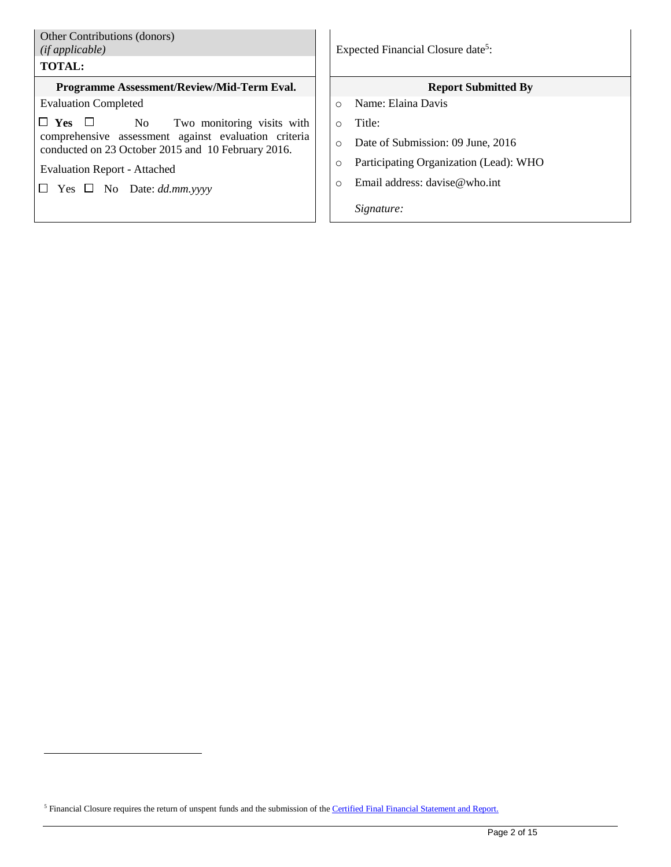| Other Contributions (donors)<br>(ifappliedble)<br><b>TOTAL:</b>                                            | Expected Financial Closure date <sup>5</sup> :    |
|------------------------------------------------------------------------------------------------------------|---------------------------------------------------|
| Programme Assessment/Review/Mid-Term Eval.                                                                 | <b>Report Submitted By</b>                        |
| <b>Evaluation Completed</b>                                                                                | Name: Elaina Davis<br>$\Omega$                    |
| $\Box$ Yes $\Box$<br>No Two monitoring visits with                                                         | Title:<br>$\bigcirc$                              |
| comprehensive assessment against evaluation criteria<br>conducted on 23 October 2015 and 10 February 2016. | Date of Submission: 09 June, 2016<br>$\circ$      |
| <b>Evaluation Report - Attached</b>                                                                        | Participating Organization (Lead): WHO<br>$\circ$ |
| $\Box$ Yes $\Box$ No Date: dd.mm.yyyy                                                                      | Email address: $d$ avise@who.int<br>$\Omega$      |
|                                                                                                            | Signature:                                        |

<sup>5</sup> Financial Closure requires the return of unspent funds and the submission of the *Certified Final Financial Statement and Report*.

 $\overline{a}$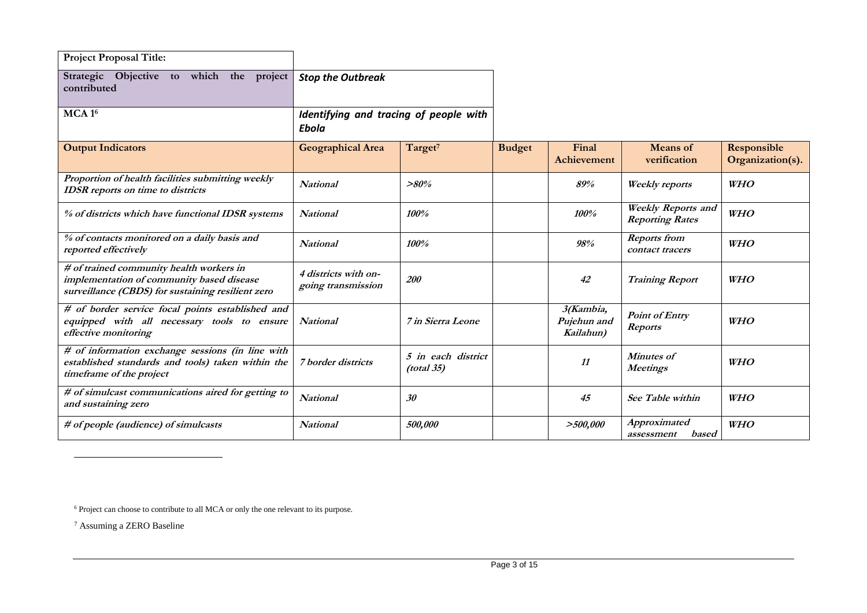| <b>Project Proposal Title:</b>                                                                                                             |                                                 |                                  |               |                                       |                                                     |                                 |
|--------------------------------------------------------------------------------------------------------------------------------------------|-------------------------------------------------|----------------------------------|---------------|---------------------------------------|-----------------------------------------------------|---------------------------------|
| Objective to<br>Strategic<br>which<br>the<br>project<br>contributed                                                                        | <b>Stop the Outbreak</b>                        |                                  |               |                                       |                                                     |                                 |
| MCA1 <sup>6</sup>                                                                                                                          | Identifying and tracing of people with<br>Ebola |                                  |               |                                       |                                                     |                                 |
| <b>Output Indicators</b>                                                                                                                   | <b>Geographical Area</b>                        | Target <sup>7</sup>              | <b>Budget</b> | Final<br><b>Achievement</b>           | <b>Means</b> of<br>verification                     | Responsible<br>Organization(s). |
| Proportion of health facilities submitting weekly<br><b>IDSR</b> reports on time to districts                                              | <b>National</b>                                 | $>80\%$                          |               | 89%                                   | <b>Weekly</b> reports                               | <b>WHO</b>                      |
| % of districts which have functional IDSR systems                                                                                          | <b>National</b>                                 | 100%                             |               | 100%                                  | <b>Weekly Reports and</b><br><b>Reporting Rates</b> | <b>WHO</b>                      |
| % of contacts monitored on a daily basis and<br>reported effectively                                                                       | National                                        | 100%                             |               | 98%                                   | <b>Reports</b> from<br>contact tracers              | <b>WHO</b>                      |
| # of trained community health workers in<br>implementation of community based disease<br>surveillance (CBDS) for sustaining resilient zero | 4 districts with on-<br>going transmission      | <i>200</i>                       |               | 42                                    | <b>Training Report</b>                              | <b>WHO</b>                      |
| # of border service focal points established and<br>equipped with all necessary tools to ensure<br>effective monitoring                    | <b>National</b>                                 | <i><b>7</b> in Sierra Leone</i>  |               | 3(Kambia,<br>Pujehun and<br>Kailahun) | <b>Point of Entry</b><br><b>Reports</b>             | <b>WHO</b>                      |
| # of information exchange sessions (in line with<br>established standards and tools) taken within the<br>timeframe of the project          | 7 border districts                              | 5 in each district<br>(total 35) |               | 11                                    | <b>Minutes of</b><br>Meetings                       | <b>WHO</b>                      |
| # of simulcast communications aired for getting to<br>and sustaining zero                                                                  | National                                        | 30                               |               | 45                                    | See Table within                                    | <b>WHO</b>                      |
| # of people (audience) of simulcasts                                                                                                       | National                                        | 500,000                          |               | >500,000                              | Approximated<br>based<br>assessment                 | <b>WHO</b>                      |

<sup>6</sup> Project can choose to contribute to all MCA or only the one relevant to its purpose.

<sup>7</sup> Assuming a ZERO Baseline

 $\overline{a}$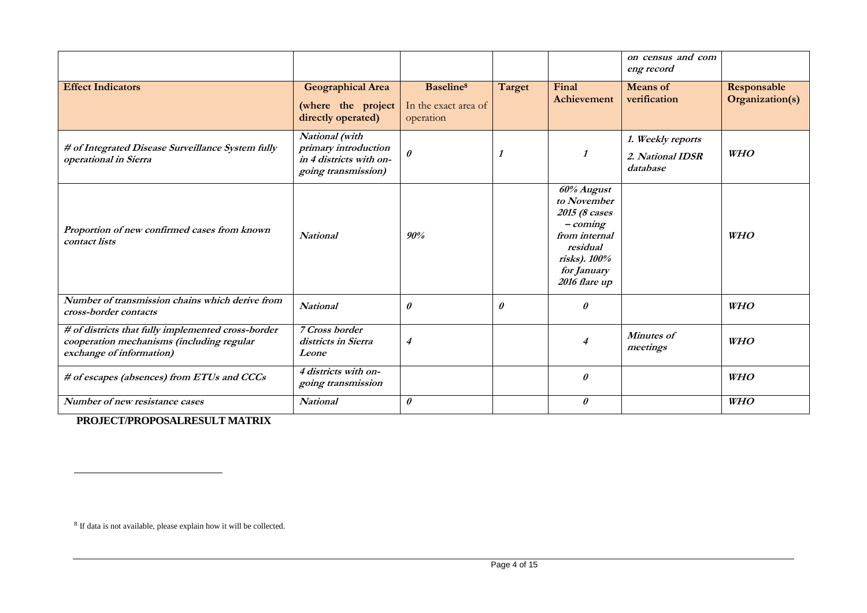|                                                                                                                             |                                                                                          |                                                            |        |                                                                                                                                      | on census and com<br>eng record                   |                                |
|-----------------------------------------------------------------------------------------------------------------------------|------------------------------------------------------------------------------------------|------------------------------------------------------------|--------|--------------------------------------------------------------------------------------------------------------------------------------|---------------------------------------------------|--------------------------------|
| <b>Effect Indicators</b>                                                                                                    | <b>Geographical Area</b><br>(where the project<br>directly operated)                     | Baseline <sup>8</sup><br>In the exact area of<br>operation | Target | Final<br>Achievement                                                                                                                 | <b>Means</b> of<br>verification                   | Responsable<br>Organization(s) |
| # of Integrated Disease Surveillance System fully<br>operational in Sierra                                                  | National (with<br>primary introduction<br>in 4 districts with on-<br>going transmission) | $\theta$                                                   |        | 1                                                                                                                                    | 1. Weekly reports<br>2. National IDSR<br>database | <b>WHO</b>                     |
| Proportion of new confirmed cases from known<br>contact lists                                                               | <b>National</b>                                                                          | 90%                                                        |        | 60% August<br>to November<br>2015 (8 cases<br>$-coming$<br>from internal<br>residual<br>risks). 100%<br>for January<br>2016 flare up |                                                   | <b>WHO</b>                     |
| Number of transmission chains which derive from<br>cross-border contacts                                                    | <b>National</b>                                                                          | $\theta$                                                   | 0      | $\theta$                                                                                                                             |                                                   | <b>WHO</b>                     |
| # of districts that fully implemented cross-border<br>cooperation mechanisms (including regular<br>exchange of information) | 7 Cross border<br>districts in Sierra<br>Leone                                           | 4                                                          |        | 4                                                                                                                                    | <b>Minutes of</b><br>meetings                     | <b>WHO</b>                     |
| # of escapes (absences) from ETUs and CCCs                                                                                  | 4 districts with on-<br>going transmission                                               |                                                            |        | 0                                                                                                                                    |                                                   | <b>WHO</b>                     |
| Number of new resistance cases                                                                                              | <b>National</b>                                                                          | 0                                                          |        | $\theta$                                                                                                                             |                                                   | <b>WHO</b>                     |

**PROJECT/PROPOSALRESULT MATRIX**

l

<sup>&</sup>lt;sup>8</sup> If data is not available, please explain how it will be collected.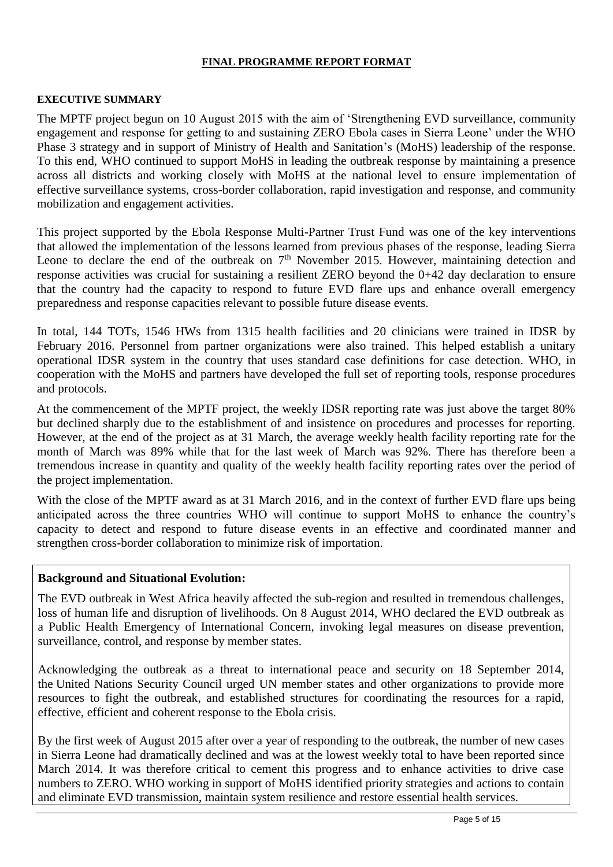#### **FINAL PROGRAMME REPORT FORMAT**

#### **EXECUTIVE SUMMARY**

The MPTF project begun on 10 August 2015 with the aim of 'Strengthening EVD surveillance, community engagement and response for getting to and sustaining ZERO Ebola cases in Sierra Leone' under the WHO Phase 3 strategy and in support of Ministry of Health and Sanitation's (MoHS) leadership of the response. To this end, WHO continued to support MoHS in leading the outbreak response by maintaining a presence across all districts and working closely with MoHS at the national level to ensure implementation of effective surveillance systems, cross-border collaboration, rapid investigation and response, and community mobilization and engagement activities.

This project supported by the Ebola Response Multi-Partner Trust Fund was one of the key interventions that allowed the implementation of the lessons learned from previous phases of the response, leading Sierra Leone to declare the end of the outbreak on  $7<sup>th</sup>$  November 2015. However, maintaining detection and response activities was crucial for sustaining a resilient ZERO beyond the 0+42 day declaration to ensure that the country had the capacity to respond to future EVD flare ups and enhance overall emergency preparedness and response capacities relevant to possible future disease events.

In total, 144 TOTs, 1546 HWs from 1315 health facilities and 20 clinicians were trained in IDSR by February 2016. Personnel from partner organizations were also trained. This helped establish a unitary operational IDSR system in the country that uses standard case definitions for case detection. WHO, in cooperation with the MoHS and partners have developed the full set of reporting tools, response procedures and protocols.

At the commencement of the MPTF project, the weekly IDSR reporting rate was just above the target 80% but declined sharply due to the establishment of and insistence on procedures and processes for reporting. However, at the end of the project as at 31 March, the average weekly health facility reporting rate for the month of March was 89% while that for the last week of March was 92%. There has therefore been a tremendous increase in quantity and quality of the weekly health facility reporting rates over the period of the project implementation.

With the close of the MPTF award as at 31 March 2016, and in the context of further EVD flare ups being anticipated across the three countries WHO will continue to support MoHS to enhance the country's capacity to detect and respond to future disease events in an effective and coordinated manner and strengthen cross-border collaboration to minimize risk of importation.

#### **Background and Situational Evolution:**

The EVD outbreak in West Africa heavily affected the sub-region and resulted in tremendous challenges, loss of human life and disruption of livelihoods. On 8 August 2014, WHO declared the EVD outbreak as a Public Health Emergency of International Concern, invoking legal measures on disease prevention, surveillance, control, and response by member states.

Acknowledging the outbreak as a threat to international peace and security on 18 September 2014, the United Nations Security Council urged UN member states and other organizations to provide more resources to fight the outbreak, and established structures for coordinating the resources for a rapid, effective, efficient and coherent response to the Ebola crisis.

By the first week of August 2015 after over a year of responding to the outbreak, the number of new cases in Sierra Leone had dramatically declined and was at the lowest weekly total to have been reported since March 2014. It was therefore critical to cement this progress and to enhance activities to drive case numbers to ZERO. WHO working in support of MoHS identified priority strategies and actions to contain and eliminate EVD transmission, maintain system resilience and restore essential health services.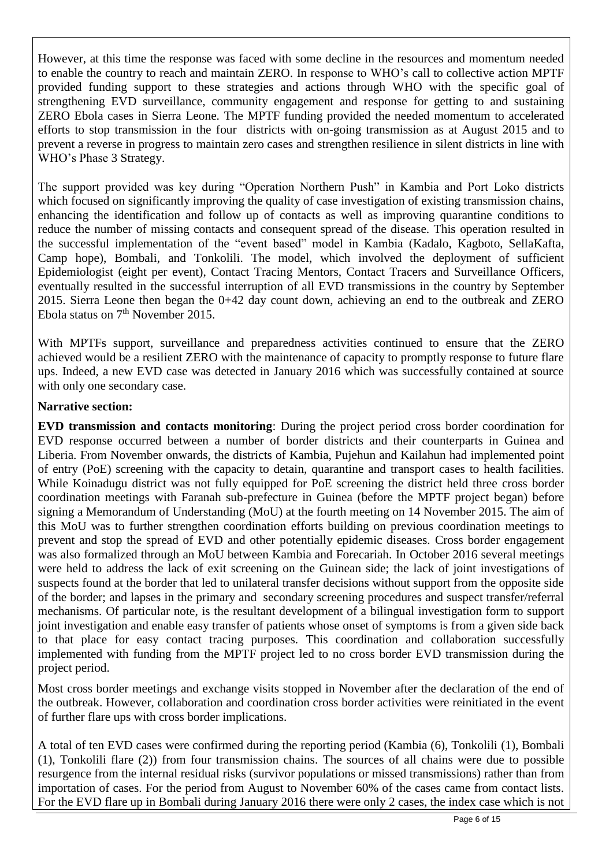However, at this time the response was faced with some decline in the resources and momentum needed to enable the country to reach and maintain ZERO. In response to WHO's call to collective action MPTF provided funding support to these strategies and actions through WHO with the specific goal of strengthening EVD surveillance, community engagement and response for getting to and sustaining ZERO Ebola cases in Sierra Leone. The MPTF funding provided the needed momentum to accelerated efforts to stop transmission in the four districts with on-going transmission as at August 2015 and to prevent a reverse in progress to maintain zero cases and strengthen resilience in silent districts in line with WHO's Phase 3 Strategy.

The support provided was key during "Operation Northern Push" in Kambia and Port Loko districts which focused on significantly improving the quality of case investigation of existing transmission chains, enhancing the identification and follow up of contacts as well as improving quarantine conditions to reduce the number of missing contacts and consequent spread of the disease. This operation resulted in the successful implementation of the "event based" model in Kambia (Kadalo, Kagboto, SellaKafta, Camp hope), Bombali, and Tonkolili. The model, which involved the deployment of sufficient Epidemiologist (eight per event), Contact Tracing Mentors, Contact Tracers and Surveillance Officers, eventually resulted in the successful interruption of all EVD transmissions in the country by September 2015. Sierra Leone then began the 0+42 day count down, achieving an end to the outbreak and ZERO Ebola status on  $7<sup>th</sup>$  November 2015.

With MPTFs support, surveillance and preparedness activities continued to ensure that the ZERO achieved would be a resilient ZERO with the maintenance of capacity to promptly response to future flare ups. Indeed, a new EVD case was detected in January 2016 which was successfully contained at source with only one secondary case.

#### **Narrative section:**

**EVD transmission and contacts monitoring**: During the project period cross border coordination for EVD response occurred between a number of border districts and their counterparts in Guinea and Liberia. From November onwards, the districts of Kambia, Pujehun and Kailahun had implemented point of entry (PoE) screening with the capacity to detain, quarantine and transport cases to health facilities. While Koinadugu district was not fully equipped for PoE screening the district held three cross border coordination meetings with Faranah sub-prefecture in Guinea (before the MPTF project began) before signing a Memorandum of Understanding (MoU) at the fourth meeting on 14 November 2015. The aim of this MoU was to further strengthen coordination efforts building on previous coordination meetings to prevent and stop the spread of EVD and other potentially epidemic diseases. Cross border engagement was also formalized through an MoU between Kambia and Forecariah. In October 2016 several meetings were held to address the lack of exit screening on the Guinean side; the lack of joint investigations of suspects found at the border that led to unilateral transfer decisions without support from the opposite side of the border; and lapses in the primary and secondary screening procedures and suspect transfer/referral mechanisms. Of particular note, is the resultant development of a bilingual investigation form to support joint investigation and enable easy transfer of patients whose onset of symptoms is from a given side back to that place for easy contact tracing purposes. This coordination and collaboration successfully implemented with funding from the MPTF project led to no cross border EVD transmission during the project period.

Most cross border meetings and exchange visits stopped in November after the declaration of the end of the outbreak. However, collaboration and coordination cross border activities were reinitiated in the event of further flare ups with cross border implications.

A total of ten EVD cases were confirmed during the reporting period (Kambia (6), Tonkolili (1), Bombali (1), Tonkolili flare (2)) from four transmission chains. The sources of all chains were due to possible resurgence from the internal residual risks (survivor populations or missed transmissions) rather than from importation of cases. For the period from August to November 60% of the cases came from contact lists. For the EVD flare up in Bombali during January 2016 there were only 2 cases, the index case which is not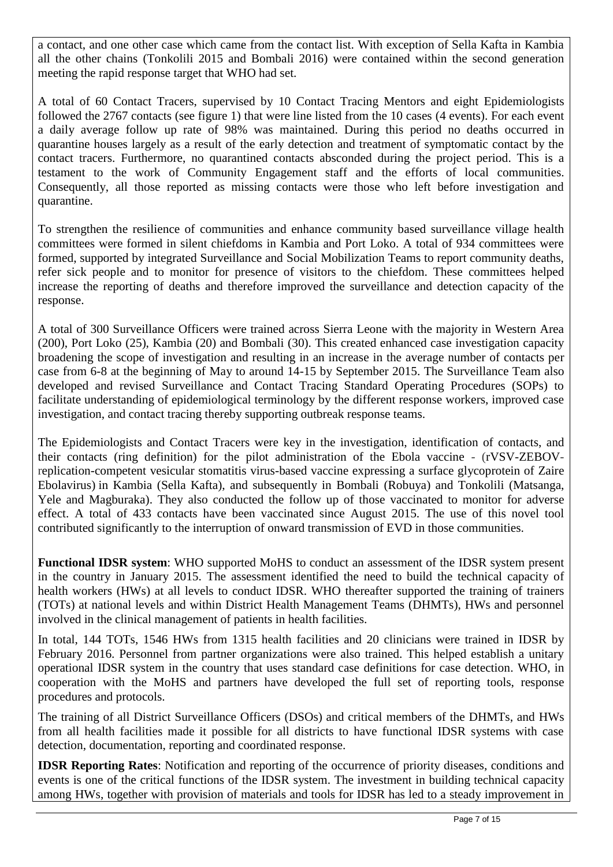a contact, and one other case which came from the contact list. With exception of Sella Kafta in Kambia all the other chains (Tonkolili 2015 and Bombali 2016) were contained within the second generation meeting the rapid response target that WHO had set.

A total of 60 Contact Tracers, supervised by 10 Contact Tracing Mentors and eight Epidemiologists followed the 2767 contacts (see figure 1) that were line listed from the 10 cases (4 events). For each event a daily average follow up rate of 98% was maintained. During this period no deaths occurred in quarantine houses largely as a result of the early detection and treatment of symptomatic contact by the contact tracers. Furthermore, no quarantined contacts absconded during the project period. This is a testament to the work of Community Engagement staff and the efforts of local communities. Consequently, all those reported as missing contacts were those who left before investigation and quarantine.

To strengthen the resilience of communities and enhance community based surveillance village health committees were formed in silent chiefdoms in Kambia and Port Loko. A total of 934 committees were formed, supported by integrated Surveillance and Social Mobilization Teams to report community deaths, refer sick people and to monitor for presence of visitors to the chiefdom. These committees helped increase the reporting of deaths and therefore improved the surveillance and detection capacity of the response.

A total of 300 Surveillance Officers were trained across Sierra Leone with the majority in Western Area (200), Port Loko (25), Kambia (20) and Bombali (30). This created enhanced case investigation capacity broadening the scope of investigation and resulting in an increase in the average number of contacts per case from 6-8 at the beginning of May to around 14-15 by September 2015. The Surveillance Team also developed and revised Surveillance and Contact Tracing Standard Operating Procedures (SOPs) to facilitate understanding of epidemiological terminology by the different response workers, improved case investigation, and contact tracing thereby supporting outbreak response teams.

The Epidemiologists and Contact Tracers were key in the investigation, identification of contacts, and their contacts (ring definition) for the pilot administration of the Ebola vaccine - (rVSV-ZEBOVreplication-competent vesicular stomatitis virus-based vaccine expressing a surface glycoprotein of Zaire Ebolavirus) in Kambia (Sella Kafta), and subsequently in Bombali (Robuya) and Tonkolili (Matsanga, Yele and Magburaka). They also conducted the follow up of those vaccinated to monitor for adverse effect. A total of 433 contacts have been vaccinated since August 2015. The use of this novel tool contributed significantly to the interruption of onward transmission of EVD in those communities.

**Functional IDSR system**: WHO supported MoHS to conduct an assessment of the IDSR system present in the country in January 2015. The assessment identified the need to build the technical capacity of health workers (HWs) at all levels to conduct IDSR. WHO thereafter supported the training of trainers (TOTs) at national levels and within District Health Management Teams (DHMTs), HWs and personnel involved in the clinical management of patients in health facilities.

In total, 144 TOTs, 1546 HWs from 1315 health facilities and 20 clinicians were trained in IDSR by February 2016. Personnel from partner organizations were also trained. This helped establish a unitary operational IDSR system in the country that uses standard case definitions for case detection. WHO, in cooperation with the MoHS and partners have developed the full set of reporting tools, response procedures and protocols.

The training of all District Surveillance Officers (DSOs) and critical members of the DHMTs, and HWs from all health facilities made it possible for all districts to have functional IDSR systems with case detection, documentation, reporting and coordinated response.

**IDSR Reporting Rates**: Notification and reporting of the occurrence of priority diseases, conditions and events is one of the critical functions of the IDSR system. The investment in building technical capacity among HWs, together with provision of materials and tools for IDSR has led to a steady improvement in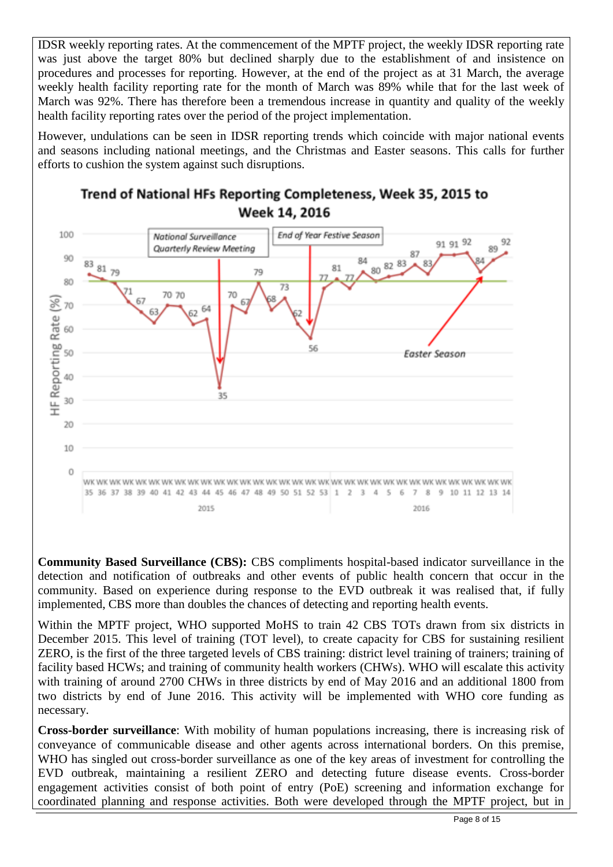IDSR weekly reporting rates. At the commencement of the MPTF project, the weekly IDSR reporting rate was just above the target 80% but declined sharply due to the establishment of and insistence on procedures and processes for reporting. However, at the end of the project as at 31 March, the average weekly health facility reporting rate for the month of March was 89% while that for the last week of March was 92%. There has therefore been a tremendous increase in quantity and quality of the weekly health facility reporting rates over the period of the project implementation.

However, undulations can be seen in IDSR reporting trends which coincide with major national events and seasons including national meetings, and the Christmas and Easter seasons. This calls for further efforts to cushion the system against such disruptions.



# Trend of National HFs Reporting Completeness, Week 35, 2015 to Week 14, 2016

**Community Based Surveillance (CBS):** CBS compliments hospital-based indicator surveillance in the detection and notification of outbreaks and other events of public health concern that occur in the community. Based on experience during response to the EVD outbreak it was realised that, if fully implemented, CBS more than doubles the chances of detecting and reporting health events.

Within the MPTF project, WHO supported MoHS to train 42 CBS TOTs drawn from six districts in December 2015. This level of training (TOT level), to create capacity for CBS for sustaining resilient ZERO, is the first of the three targeted levels of CBS training: district level training of trainers; training of facility based HCWs; and training of community health workers (CHWs). WHO will escalate this activity with training of around 2700 CHWs in three districts by end of May 2016 and an additional 1800 from two districts by end of June 2016. This activity will be implemented with WHO core funding as necessary.

**Cross-border surveillance**: With mobility of human populations increasing, there is increasing risk of conveyance of communicable disease and other agents across international borders. On this premise, WHO has singled out cross-border surveillance as one of the key areas of investment for controlling the EVD outbreak, maintaining a resilient ZERO and detecting future disease events. Cross-border engagement activities consist of both point of entry (PoE) screening and information exchange for coordinated planning and response activities. Both were developed through the MPTF project, but in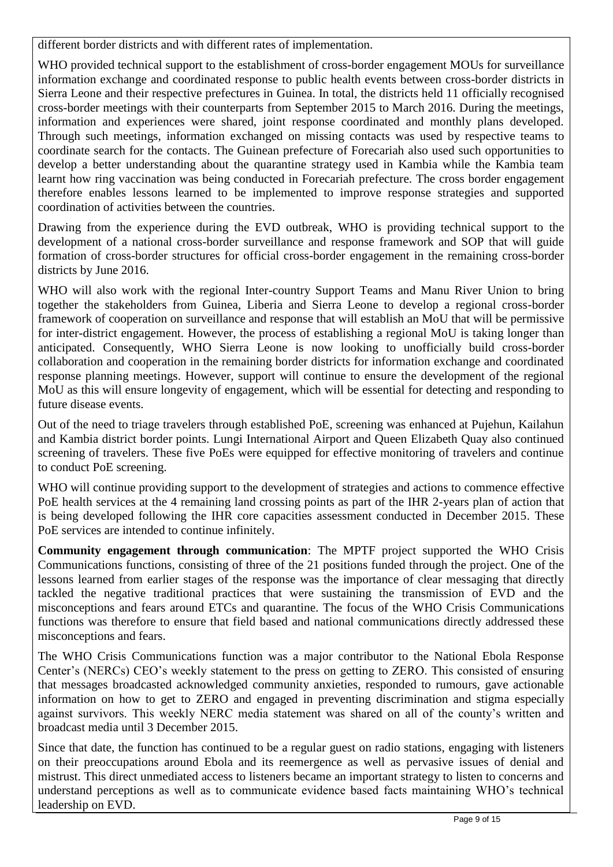different border districts and with different rates of implementation.

WHO provided technical support to the establishment of cross-border engagement MOUs for surveillance information exchange and coordinated response to public health events between cross-border districts in Sierra Leone and their respective prefectures in Guinea. In total, the districts held 11 officially recognised cross-border meetings with their counterparts from September 2015 to March 2016. During the meetings, information and experiences were shared, joint response coordinated and monthly plans developed. Through such meetings, information exchanged on missing contacts was used by respective teams to coordinate search for the contacts. The Guinean prefecture of Forecariah also used such opportunities to develop a better understanding about the quarantine strategy used in Kambia while the Kambia team learnt how ring vaccination was being conducted in Forecariah prefecture. The cross border engagement therefore enables lessons learned to be implemented to improve response strategies and supported coordination of activities between the countries.

Drawing from the experience during the EVD outbreak, WHO is providing technical support to the development of a national cross-border surveillance and response framework and SOP that will guide formation of cross-border structures for official cross-border engagement in the remaining cross-border districts by June 2016.

WHO will also work with the regional Inter-country Support Teams and Manu River Union to bring together the stakeholders from Guinea, Liberia and Sierra Leone to develop a regional cross-border framework of cooperation on surveillance and response that will establish an MoU that will be permissive for inter-district engagement. However, the process of establishing a regional MoU is taking longer than anticipated. Consequently, WHO Sierra Leone is now looking to unofficially build cross-border collaboration and cooperation in the remaining border districts for information exchange and coordinated response planning meetings. However, support will continue to ensure the development of the regional MoU as this will ensure longevity of engagement, which will be essential for detecting and responding to future disease events.

Out of the need to triage travelers through established PoE, screening was enhanced at Pujehun, Kailahun and Kambia district border points. Lungi International Airport and Queen Elizabeth Quay also continued screening of travelers. These five PoEs were equipped for effective monitoring of travelers and continue to conduct PoE screening.

WHO will continue providing support to the development of strategies and actions to commence effective PoE health services at the 4 remaining land crossing points as part of the IHR 2-years plan of action that is being developed following the IHR core capacities assessment conducted in December 2015. These PoE services are intended to continue infinitely.

**Community engagement through communication**: The MPTF project supported the WHO Crisis Communications functions, consisting of three of the 21 positions funded through the project. One of the lessons learned from earlier stages of the response was the importance of clear messaging that directly tackled the negative traditional practices that were sustaining the transmission of EVD and the misconceptions and fears around ETCs and quarantine. The focus of the WHO Crisis Communications functions was therefore to ensure that field based and national communications directly addressed these misconceptions and fears.

The WHO Crisis Communications function was a major contributor to the National Ebola Response Center's (NERCs) CEO's weekly statement to the press on getting to ZERO. This consisted of ensuring that messages broadcasted acknowledged community anxieties, responded to rumours, gave actionable information on how to get to ZERO and engaged in preventing discrimination and stigma especially against survivors. This weekly NERC media statement was shared on all of the county's written and broadcast media until 3 December 2015.

Since that date, the function has continued to be a regular guest on radio stations, engaging with listeners on their preoccupations around Ebola and its reemergence as well as pervasive issues of denial and mistrust. This direct unmediated access to listeners became an important strategy to listen to concerns and understand perceptions as well as to communicate evidence based facts maintaining WHO's technical leadership on EVD.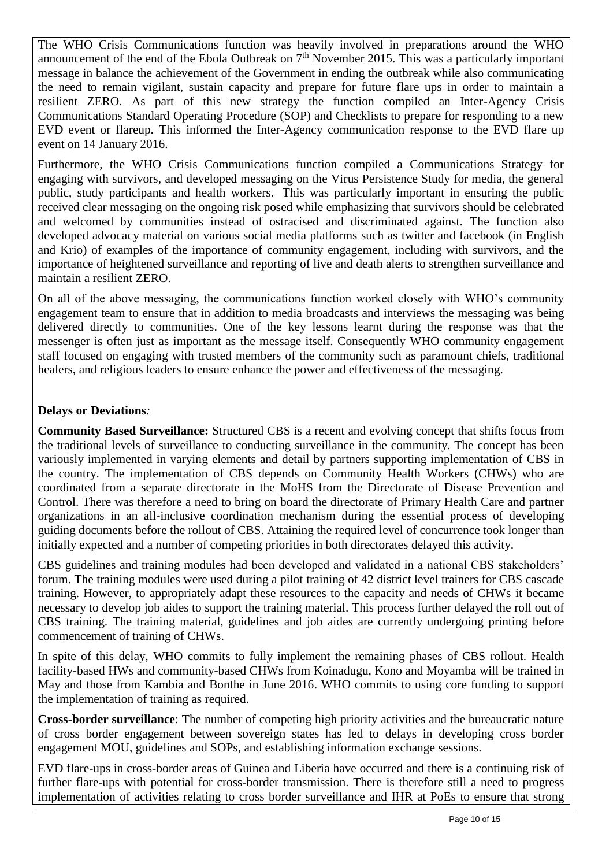The WHO Crisis Communications function was heavily involved in preparations around the WHO announcement of the end of the Ebola Outbreak on  $7<sup>th</sup>$  November 2015. This was a particularly important message in balance the achievement of the Government in ending the outbreak while also communicating the need to remain vigilant, sustain capacity and prepare for future flare ups in order to maintain a resilient ZERO. As part of this new strategy the function compiled an Inter-Agency Crisis Communications Standard Operating Procedure (SOP) and Checklists to prepare for responding to a new EVD event or flareup. This informed the Inter-Agency communication response to the EVD flare up event on 14 January 2016.

Furthermore, the WHO Crisis Communications function compiled a Communications Strategy for engaging with survivors, and developed messaging on the Virus Persistence Study for media, the general public, study participants and health workers. This was particularly important in ensuring the public received clear messaging on the ongoing risk posed while emphasizing that survivors should be celebrated and welcomed by communities instead of ostracised and discriminated against. The function also developed advocacy material on various social media platforms such as twitter and facebook (in English and Krio) of examples of the importance of community engagement, including with survivors, and the importance of heightened surveillance and reporting of live and death alerts to strengthen surveillance and maintain a resilient ZERO.

On all of the above messaging, the communications function worked closely with WHO's community engagement team to ensure that in addition to media broadcasts and interviews the messaging was being delivered directly to communities. One of the key lessons learnt during the response was that the messenger is often just as important as the message itself. Consequently WHO community engagement staff focused on engaging with trusted members of the community such as paramount chiefs, traditional healers, and religious leaders to ensure enhance the power and effectiveness of the messaging.

#### **Delays or Deviations***:*

**Community Based Surveillance:** Structured CBS is a recent and evolving concept that shifts focus from the traditional levels of surveillance to conducting surveillance in the community. The concept has been variously implemented in varying elements and detail by partners supporting implementation of CBS in the country. The implementation of CBS depends on Community Health Workers (CHWs) who are coordinated from a separate directorate in the MoHS from the Directorate of Disease Prevention and Control. There was therefore a need to bring on board the directorate of Primary Health Care and partner organizations in an all-inclusive coordination mechanism during the essential process of developing guiding documents before the rollout of CBS. Attaining the required level of concurrence took longer than initially expected and a number of competing priorities in both directorates delayed this activity.

CBS guidelines and training modules had been developed and validated in a national CBS stakeholders' forum. The training modules were used during a pilot training of 42 district level trainers for CBS cascade training. However, to appropriately adapt these resources to the capacity and needs of CHWs it became necessary to develop job aides to support the training material. This process further delayed the roll out of CBS training. The training material, guidelines and job aides are currently undergoing printing before commencement of training of CHWs.

In spite of this delay, WHO commits to fully implement the remaining phases of CBS rollout. Health facility-based HWs and community-based CHWs from Koinadugu, Kono and Moyamba will be trained in May and those from Kambia and Bonthe in June 2016. WHO commits to using core funding to support the implementation of training as required.

**Cross-border surveillance**: The number of competing high priority activities and the bureaucratic nature of cross border engagement between sovereign states has led to delays in developing cross border engagement MOU, guidelines and SOPs, and establishing information exchange sessions.

EVD flare-ups in cross-border areas of Guinea and Liberia have occurred and there is a continuing risk of further flare-ups with potential for cross-border transmission. There is therefore still a need to progress implementation of activities relating to cross border surveillance and IHR at PoEs to ensure that strong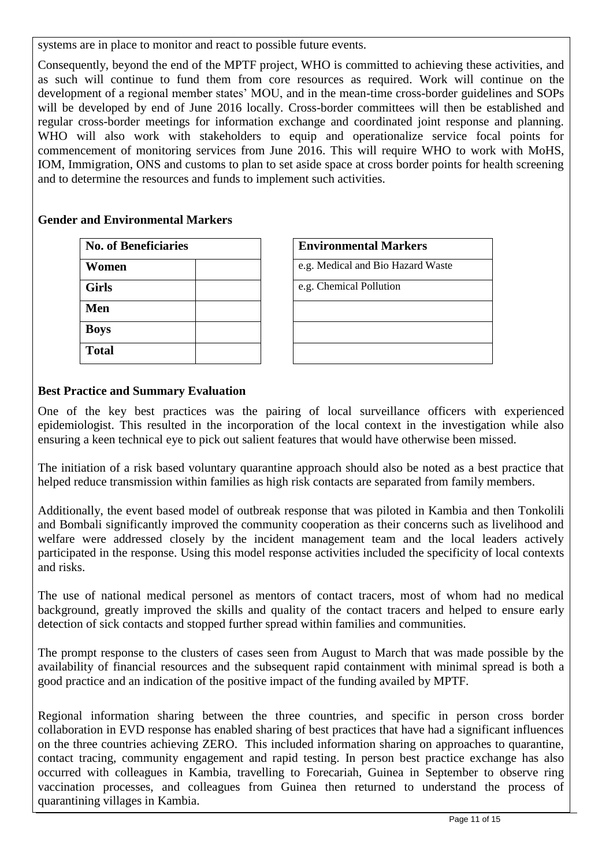systems are in place to monitor and react to possible future events.

Consequently, beyond the end of the MPTF project, WHO is committed to achieving these activities, and as such will continue to fund them from core resources as required. Work will continue on the development of a regional member states' MOU, and in the mean-time cross-border guidelines and SOPs will be developed by end of June 2016 locally. Cross-border committees will then be established and regular cross-border meetings for information exchange and coordinated joint response and planning. WHO will also work with stakeholders to equip and operationalize service focal points for commencement of monitoring services from June 2016. This will require WHO to work with MoHS, IOM, Immigration, ONS and customs to plan to set aside space at cross border points for health screening and to determine the resources and funds to implement such activities.

#### **Gender and Environmental Markers**

| <b>No. of Beneficiaries</b> | <b>Environmental Markers</b>      |
|-----------------------------|-----------------------------------|
| Women                       | e.g. Medical and Bio Hazard Waste |
| <b>Girls</b>                | e.g. Chemical Pollution           |
| Men                         |                                   |
| <b>Boys</b>                 |                                   |
| <b>Total</b>                |                                   |

| <b>Environmental Markers</b>      |  |
|-----------------------------------|--|
| e.g. Medical and Bio Hazard Waste |  |
| e.g. Chemical Pollution           |  |
|                                   |  |
|                                   |  |
|                                   |  |

# **Best Practice and Summary Evaluation**

One of the key best practices was the pairing of local surveillance officers with experienced epidemiologist. This resulted in the incorporation of the local context in the investigation while also ensuring a keen technical eye to pick out salient features that would have otherwise been missed.

The initiation of a risk based voluntary quarantine approach should also be noted as a best practice that helped reduce transmission within families as high risk contacts are separated from family members.

Additionally, the event based model of outbreak response that was piloted in Kambia and then Tonkolili and Bombali significantly improved the community cooperation as their concerns such as livelihood and welfare were addressed closely by the incident management team and the local leaders actively participated in the response. Using this model response activities included the specificity of local contexts and risks.

The use of national medical personel as mentors of contact tracers, most of whom had no medical background, greatly improved the skills and quality of the contact tracers and helped to ensure early detection of sick contacts and stopped further spread within families and communities.

The prompt response to the clusters of cases seen from August to March that was made possible by the availability of financial resources and the subsequent rapid containment with minimal spread is both a good practice and an indication of the positive impact of the funding availed by MPTF.

Regional information sharing between the three countries, and specific in person cross border collaboration in EVD response has enabled sharing of best practices that have had a significant influences on the three countries achieving ZERO. This included information sharing on approaches to quarantine, contact tracing, community engagement and rapid testing. In person best practice exchange has also occurred with colleagues in Kambia, travelling to Forecariah, Guinea in September to observe ring vaccination processes, and colleagues from Guinea then returned to understand the process of quarantining villages in Kambia.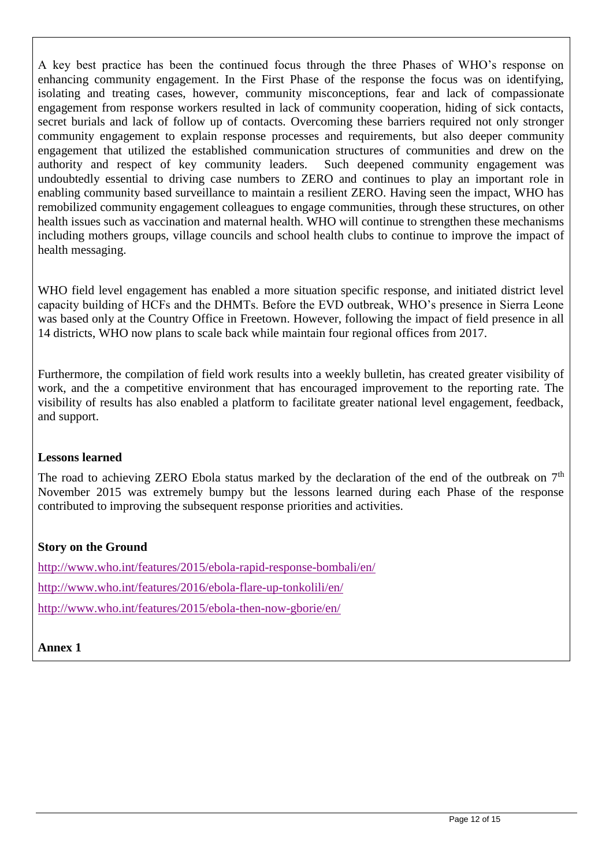A key best practice has been the continued focus through the three Phases of WHO's response on enhancing community engagement. In the First Phase of the response the focus was on identifying, isolating and treating cases, however, community misconceptions, fear and lack of compassionate engagement from response workers resulted in lack of community cooperation, hiding of sick contacts, secret burials and lack of follow up of contacts. Overcoming these barriers required not only stronger community engagement to explain response processes and requirements, but also deeper community engagement that utilized the established communication structures of communities and drew on the authority and respect of key community leaders. Such deepened community engagement was undoubtedly essential to driving case numbers to ZERO and continues to play an important role in enabling community based surveillance to maintain a resilient ZERO. Having seen the impact, WHO has remobilized community engagement colleagues to engage communities, through these structures, on other health issues such as vaccination and maternal health. WHO will continue to strengthen these mechanisms including mothers groups, village councils and school health clubs to continue to improve the impact of health messaging.

WHO field level engagement has enabled a more situation specific response, and initiated district level capacity building of HCFs and the DHMTs. Before the EVD outbreak, WHO's presence in Sierra Leone was based only at the Country Office in Freetown. However, following the impact of field presence in all 14 districts, WHO now plans to scale back while maintain four regional offices from 2017.

Furthermore, the compilation of field work results into a weekly bulletin, has created greater visibility of work, and the a competitive environment that has encouraged improvement to the reporting rate. The visibility of results has also enabled a platform to facilitate greater national level engagement, feedback, and support.

#### **Lessons learned**

The road to achieving ZERO Ebola status marked by the declaration of the end of the outbreak on  $7<sup>th</sup>$ November 2015 was extremely bumpy but the lessons learned during each Phase of the response contributed to improving the subsequent response priorities and activities.

# **Story on the Ground**

<http://www.who.int/features/2015/ebola-rapid-response-bombali/en/> <http://www.who.int/features/2016/ebola-flare-up-tonkolili/en/> <http://www.who.int/features/2015/ebola-then-now-gborie/en/>

**Annex 1**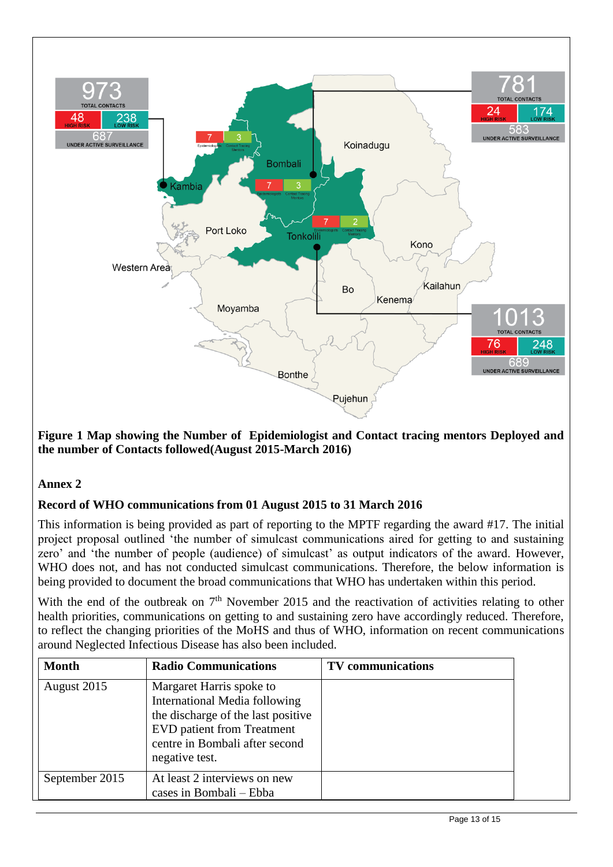

**Figure 1 Map showing the Number of Epidemiologist and Contact tracing mentors Deployed and the number of Contacts followed(August 2015-March 2016)**

# **Annex 2**

# **Record of WHO communications from 01 August 2015 to 31 March 2016**

This information is being provided as part of reporting to the MPTF regarding the award #17. The initial project proposal outlined 'the number of simulcast communications aired for getting to and sustaining zero' and 'the number of people (audience) of simulcast' as output indicators of the award. However, WHO does not, and has not conducted simulcast communications. Therefore, the below information is being provided to document the broad communications that WHO has undertaken within this period.

With the end of the outbreak on  $7<sup>th</sup>$  November 2015 and the reactivation of activities relating to other health priorities, communications on getting to and sustaining zero have accordingly reduced. Therefore, to reflect the changing priorities of the MoHS and thus of WHO, information on recent communications around Neglected Infectious Disease has also been included.

| <b>Month</b>   | <b>Radio Communications</b>                                                                                                                                                              | <b>TV</b> communications |
|----------------|------------------------------------------------------------------------------------------------------------------------------------------------------------------------------------------|--------------------------|
| August 2015    | Margaret Harris spoke to<br>International Media following<br>the discharge of the last positive<br><b>EVD</b> patient from Treatment<br>centre in Bombali after second<br>negative test. |                          |
| September 2015 | At least 2 interviews on new<br>cases in Bombali – Ebba                                                                                                                                  |                          |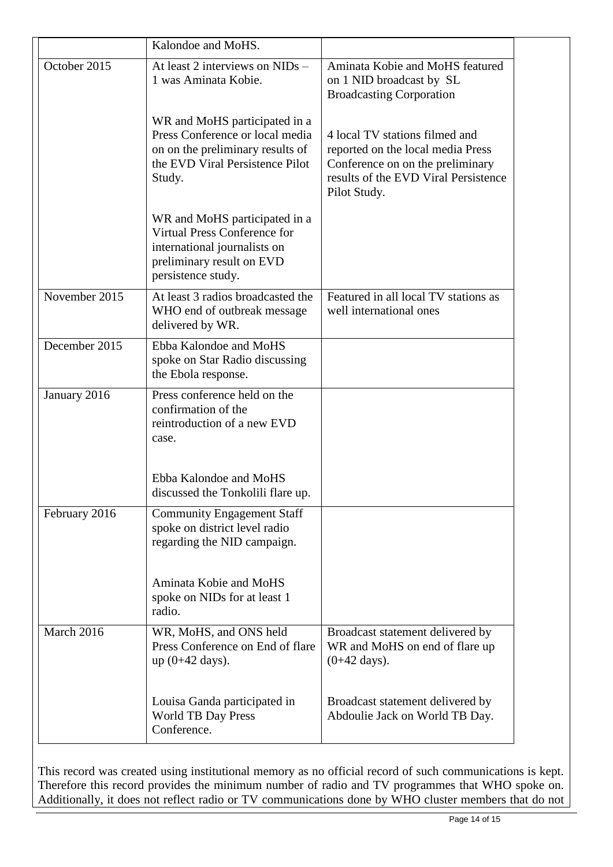|               | Kalondoe and MoHS.                                                                                                                                |                                                                                                                                                                 |  |
|---------------|---------------------------------------------------------------------------------------------------------------------------------------------------|-----------------------------------------------------------------------------------------------------------------------------------------------------------------|--|
| October 2015  | At least 2 interviews on $NIDs -$<br>1 was Aminata Kobie.                                                                                         | Aminata Kobie and MoHS featured<br>on 1 NID broadcast by SL<br><b>Broadcasting Corporation</b>                                                                  |  |
|               | WR and MoHS participated in a<br>Press Conference or local media<br>on on the preliminary results of<br>the EVD Viral Persistence Pilot<br>Study. | 4 local TV stations filmed and<br>reported on the local media Press<br>Conference on on the preliminary<br>results of the EVD Viral Persistence<br>Pilot Study. |  |
|               | WR and MoHS participated in a<br>Virtual Press Conference for<br>international journalists on<br>preliminary result on EVD<br>persistence study.  |                                                                                                                                                                 |  |
| November 2015 | At least 3 radios broadcasted the<br>WHO end of outbreak message<br>delivered by WR.                                                              | Featured in all local TV stations as<br>well international ones                                                                                                 |  |
| December 2015 | Ebba Kalondoe and MoHS<br>spoke on Star Radio discussing<br>the Ebola response.                                                                   |                                                                                                                                                                 |  |
| January 2016  | Press conference held on the<br>confirmation of the<br>reintroduction of a new EVD<br>case.                                                       |                                                                                                                                                                 |  |
|               | Ebba Kalondoe and MoHS<br>discussed the Tonkolili flare up.                                                                                       |                                                                                                                                                                 |  |
| February 2016 | <b>Community Engagement Staff</b><br>spoke on district level radio<br>regarding the NID campaign.                                                 |                                                                                                                                                                 |  |
|               | Aminata Kobie and MoHS<br>spoke on NIDs for at least 1<br>radio.                                                                                  |                                                                                                                                                                 |  |
| March 2016    | WR, MoHS, and ONS held<br>Press Conference on End of flare<br>$up (0+42 days).$                                                                   | Broadcast statement delivered by<br>WR and MoHS on end of flare up<br>$(0+42 \text{ days}).$                                                                    |  |
|               | Louisa Ganda participated in<br><b>World TB Day Press</b><br>Conference.                                                                          | Broadcast statement delivered by<br>Abdoulie Jack on World TB Day.                                                                                              |  |

This record was created using institutional memory as no official record of such communications is kept. Therefore this record provides the minimum number of radio and TV programmes that WHO spoke on. Additionally, it does not reflect radio or TV communications done by WHO cluster members that do not